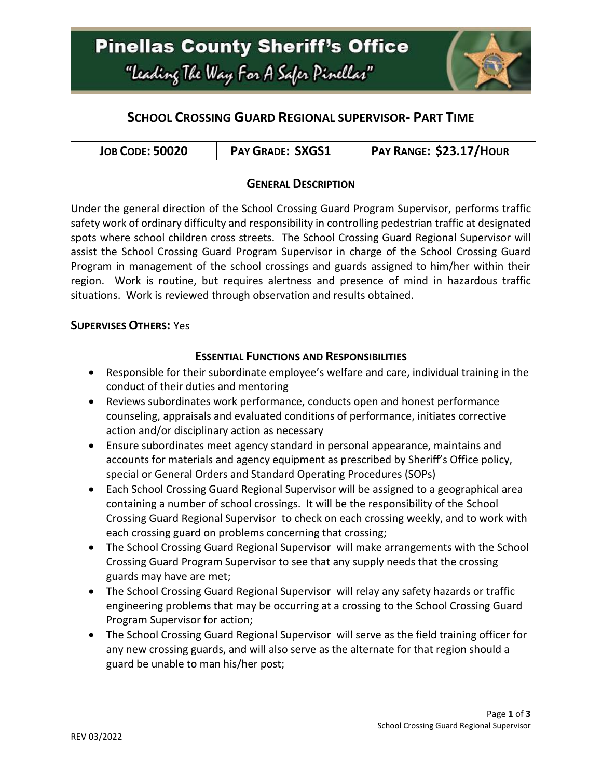

## **SCHOOL CROSSING GUARD REGIONAL SUPERVISOR- PART TIME**

| <b>JOB CODE: 50020</b> | <b>PAY GRADE: SXGS1</b> | PAY RANGE: \$23.17/HOUR |
|------------------------|-------------------------|-------------------------|
|------------------------|-------------------------|-------------------------|

### **GENERAL DESCRIPTION**

Under the general direction of the School Crossing Guard Program Supervisor, performs traffic safety work of ordinary difficulty and responsibility in controlling pedestrian traffic at designated spots where school children cross streets. The School Crossing Guard Regional Supervisor will assist the School Crossing Guard Program Supervisor in charge of the School Crossing Guard Program in management of the school crossings and guards assigned to him/her within their region. Work is routine, but requires alertness and presence of mind in hazardous traffic situations. Work is reviewed through observation and results obtained.

#### **SUPERVISES OTHERS:** Yes

#### **ESSENTIAL FUNCTIONS AND RESPONSIBILITIES**

- Responsible for their subordinate employee's welfare and care, individual training in the conduct of their duties and mentoring
- Reviews subordinates work performance, conducts open and honest performance counseling, appraisals and evaluated conditions of performance, initiates corrective action and/or disciplinary action as necessary
- Ensure subordinates meet agency standard in personal appearance, maintains and accounts for materials and agency equipment as prescribed by Sheriff's Office policy, special or General Orders and Standard Operating Procedures (SOPs)
- Each School Crossing Guard Regional Supervisor will be assigned to a geographical area containing a number of school crossings. It will be the responsibility of the School Crossing Guard Regional Supervisor to check on each crossing weekly, and to work with each crossing guard on problems concerning that crossing;
- The School Crossing Guard Regional Supervisor will make arrangements with the School Crossing Guard Program Supervisor to see that any supply needs that the crossing guards may have are met;
- The School Crossing Guard Regional Supervisor will relay any safety hazards or traffic engineering problems that may be occurring at a crossing to the School Crossing Guard Program Supervisor for action;
- The School Crossing Guard Regional Supervisor will serve as the field training officer for any new crossing guards, and will also serve as the alternate for that region should a guard be unable to man his/her post;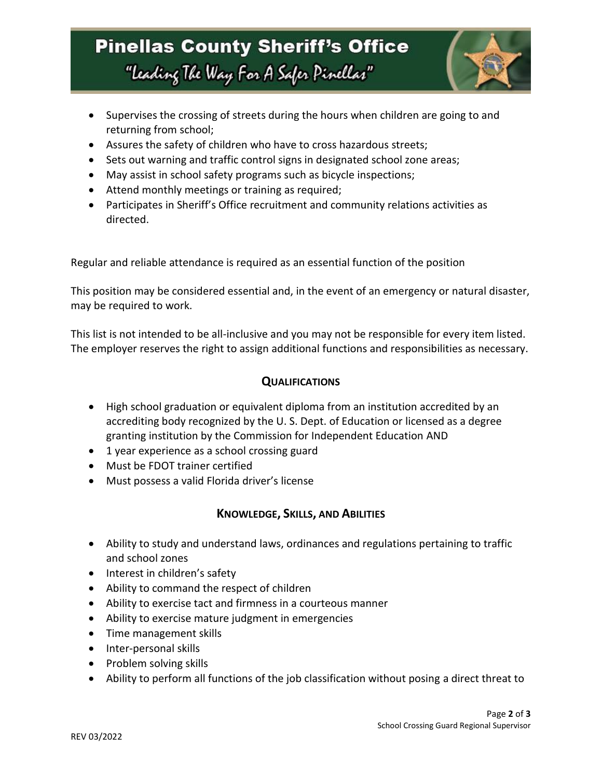# **Pinellas County Sheriff's Office** "Leading The Way For A Safer Pinellar"



- Supervises the crossing of streets during the hours when children are going to and returning from school;
- Assures the safety of children who have to cross hazardous streets;
- Sets out warning and traffic control signs in designated school zone areas;
- May assist in school safety programs such as bicycle inspections;
- Attend monthly meetings or training as required;
- Participates in Sheriff's Office recruitment and community relations activities as directed.

Regular and reliable attendance is required as an essential function of the position

This position may be considered essential and, in the event of an emergency or natural disaster, may be required to work.

This list is not intended to be all-inclusive and you may not be responsible for every item listed. The employer reserves the right to assign additional functions and responsibilities as necessary.

### **QUALIFICATIONS**

- High school graduation or equivalent diploma from an institution accredited by an accrediting body recognized by the U. S. Dept. of Education or licensed as a degree granting institution by the Commission for Independent Education AND
- 1 year experience as a school crossing guard
- Must be FDOT trainer certified
- Must possess a valid Florida driver's license

### **KNOWLEDGE, SKILLS, AND ABILITIES**

- Ability to study and understand laws, ordinances and regulations pertaining to traffic and school zones
- Interest in children's safety
- Ability to command the respect of children
- Ability to exercise tact and firmness in a courteous manner
- Ability to exercise mature judgment in emergencies
- Time management skills
- Inter-personal skills
- Problem solving skills
- Ability to perform all functions of the job classification without posing a direct threat to